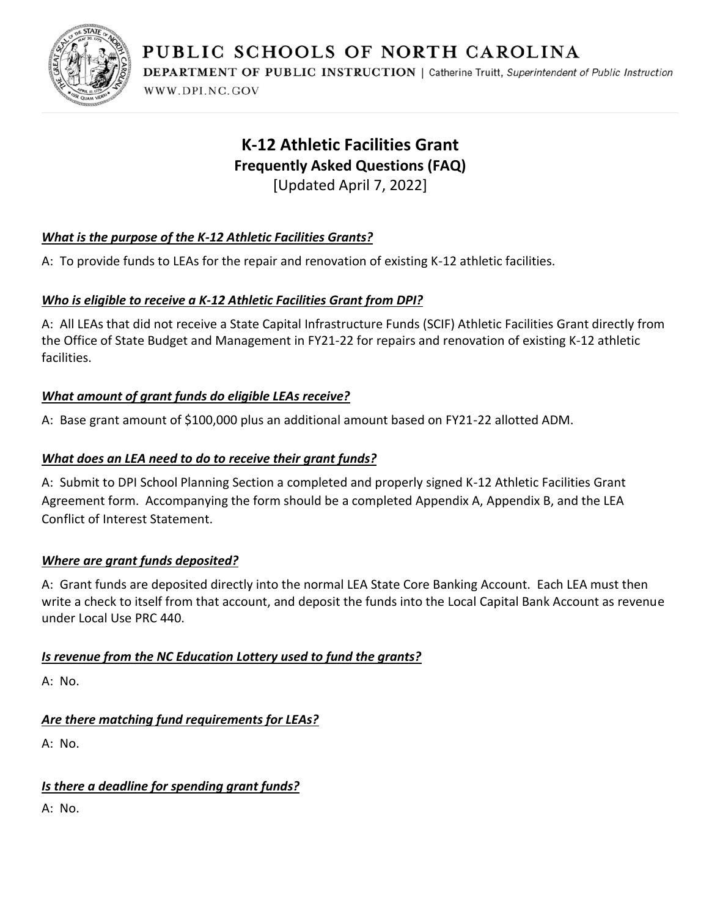

**DEPARTMENT OF PUBLIC INSTRUCTION | Catherine Truitt, Superintendent of Public Instruction** WWW.DPI.NC.GOV

# **K-12 Athletic Facilities Grant Frequently Asked Questions (FAQ)**

[Updated April 7, 2022]

# *What is the purpose of the K-12 Athletic Facilities Grants?*

A: To provide funds to LEAs for the repair and renovation of existing K-12 athletic facilities.

# *Who is eligible to receive a K-12 Athletic Facilities Grant from DPI?*

A: All LEAs that did not receive a State Capital Infrastructure Funds (SCIF) Athletic Facilities Grant directly from the Office of State Budget and Management in FY21-22 for repairs and renovation of existing K-12 athletic facilities.

## *What amount of grant funds do eligible LEAs receive?*

A: Base grant amount of \$100,000 plus an additional amount based on FY21-22 allotted ADM.

## *What does an LEA need to do to receive their grant funds?*

A: Submit to DPI School Planning Section a completed and properly signed K-12 Athletic Facilities Grant Agreement form. Accompanying the form should be a completed Appendix A, Appendix B, and the LEA Conflict of Interest Statement.

## *Where are grant funds deposited?*

A: Grant funds are deposited directly into the normal LEA State Core Banking Account. Each LEA must then write a check to itself from that account, and deposit the funds into the Local Capital Bank Account as revenue under Local Use PRC 440.

## *Is revenue from the NC Education Lottery used to fund the grants?*

A: No.

# *Are there matching fund requirements for LEAs?*

A: No.

# *Is there a deadline for spending grant funds?*

A: No.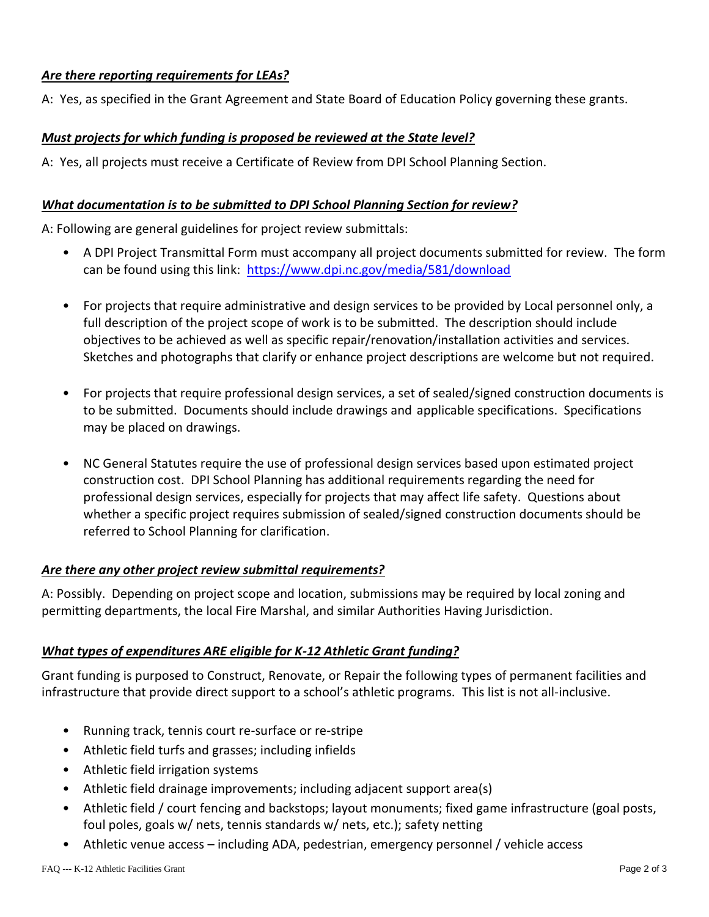#### *Are there reporting requirements for LEAs?*

A: Yes, as specified in the Grant Agreement and State Board of Education Policy governing these grants.

#### *Must projects for which funding is proposed be reviewed at the State level?*

A: Yes, all projects must receive a Certificate of Review from DPI School Planning Section.

#### *What documentation is to be submitted to DPI School Planning Section for review?*

A: Following are general guidelines for project review submittals:

- A DPI Project Transmittal Form must accompany all project documents submitted for review. The form can be found using this link: <https://www.dpi.nc.gov/media/581/download>
- For projects that require administrative and design services to be provided by Local personnel only, a full description of the project scope of work is to be submitted. The description should include objectives to be achieved as well as specific repair/renovation/installation activities and services. Sketches and photographs that clarify or enhance project descriptions are welcome but not required.
- For projects that require professional design services, a set of sealed/signed construction documents is to be submitted. Documents should include drawings and applicable specifications. Specifications may be placed on drawings.
- NC General Statutes require the use of professional design services based upon estimated project construction cost. DPI School Planning has additional requirements regarding the need for professional design services, especially for projects that may affect life safety. Questions about whether a specific project requires submission of sealed/signed construction documents should be referred to School Planning for clarification.

#### *Are there any other project review submittal requirements?*

A: Possibly. Depending on project scope and location, submissions may be required by local zoning and permitting departments, the local Fire Marshal, and similar Authorities Having Jurisdiction.

## *What types of expenditures ARE eligible for K-12 Athletic Grant funding?*

Grant funding is purposed to Construct, Renovate, or Repair the following types of permanent facilities and infrastructure that provide direct support to a school's athletic programs. This list is not all-inclusive.

- Running track, tennis court re-surface or re-stripe
- Athletic field turfs and grasses; including infields
- Athletic field irrigation systems
- Athletic field drainage improvements; including adjacent support area(s)
- Athletic field / court fencing and backstops; layout monuments; fixed game infrastructure (goal posts, foul poles, goals w/ nets, tennis standards w/ nets, etc.); safety netting
- Athletic venue access including ADA, pedestrian, emergency personnel / vehicle access